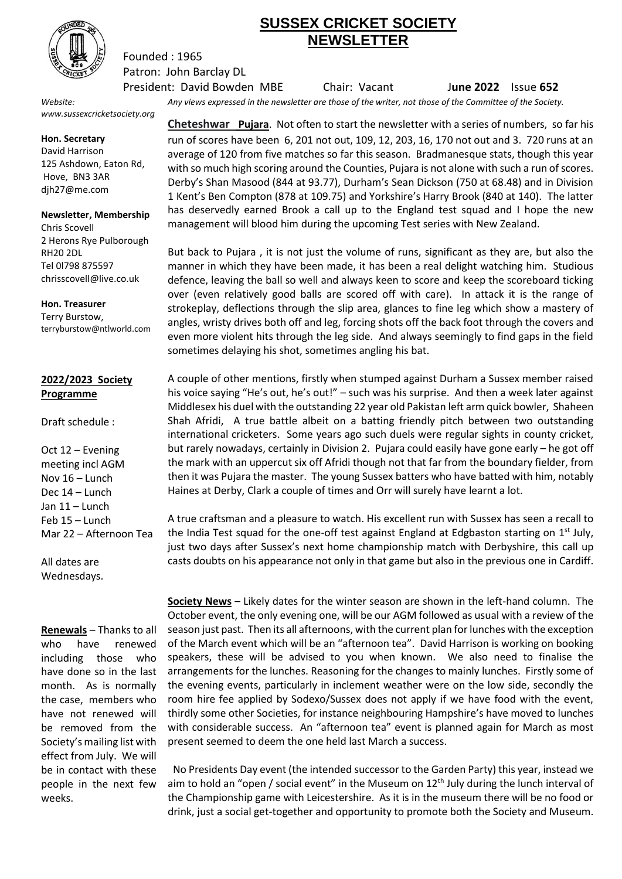

## **SUSSEX CRICKET SOCIETY NEWSLETTER**

Patron: John Barclay DL President: David Bowden MBE Chair: Vacant J**une 2022** Issue **652**

*www.sussexcricketsociety.org*

Founded : 1965

**Hon. Secretary**

David Harrison 125 Ashdown, Eaton Rd, Hove, BN3 3AR djh27@me.com

## **Newsletter, Membership**

Chris Scovell 2 Herons Rye Pulborough RH20 2DL Tel 0l798 875597 chrisscovell@live.co.uk

**Hon. Treasurer**

Terry Burstow, terryburstow@ntlworld.com

## **2022/2023 Society Programme**

Draft schedule :

Oct 12 – Evening meeting incl AGM Nov 16 – Lunch Dec 14 – Lunch Jan 11 – Lunch Feb 15 – Lunch Mar 22 – Afternoon Tea

All dates are Wednesdays.

**Renewals** – Thanks to all who have renewed including those who have done so in the last month. As is normally the case, members who have not renewed will be removed from the Society's mailing list with effect from July. We will be in contact with these people in the next few weeks.

*Website: Any views expressed in the newsletter are those of the writer, not those of the Committee of the Society.*

**Cheteshwar Pujara**. Not often to start the newsletter with a series of numbers, so far his run of scores have been 6, 201 not out, 109, 12, 203, 16, 170 not out and 3. 720 runs at an average of 120 from five matches so far this season. Bradmanesque stats, though this year with so much high scoring around the Counties, Pujara is not alone with such a run of scores. Derby's Shan Masood (844 at 93.77), Durham's Sean Dickson (750 at 68.48) and in Division 1 Kent's Ben Compton (878 at 109.75) and Yorkshire's Harry Brook (840 at 140). The latter has deservedly earned Brook a call up to the England test squad and I hope the new management will blood him during the upcoming Test series with New Zealand.

But back to Pujara , it is not just the volume of runs, significant as they are, but also the manner in which they have been made, it has been a real delight watching him. Studious defence, leaving the ball so well and always keen to score and keep the scoreboard ticking over (even relatively good balls are scored off with care). In attack it is the range of strokeplay, deflections through the slip area, glances to fine leg which show a mastery of angles, wristy drives both off and leg, forcing shots off the back foot through the covers and even more violent hits through the leg side. And always seemingly to find gaps in the field sometimes delaying his shot, sometimes angling his bat.

A couple of other mentions, firstly when stumped against Durham a Sussex member raised his voice saying "He's out, he's out!" - such was his surprise. And then a week later against Middlesex his duel with the outstanding 22 year old Pakistan left arm quick bowler, Shaheen Shah Afridi, A true battle albeit on a batting friendly pitch between two outstanding international cricketers. Some years ago such duels were regular sights in county cricket, but rarely nowadays, certainly in Division 2. Pujara could easily have gone early – he got off the mark with an uppercut six off Afridi though not that far from the boundary fielder, from then it was Pujara the master. The young Sussex batters who have batted with him, notably Haines at Derby, Clark a couple of times and Orr will surely have learnt a lot.

A true craftsman and a pleasure to watch. His excellent run with Sussex has seen a recall to the India Test squad for the one-off test against England at Edgbaston starting on  $1^{st}$  July, just two days after Sussex's next home championship match with Derbyshire, this call up casts doubts on his appearance not only in that game but also in the previous one in Cardiff.

**Society News** – Likely dates for the winter season are shown in the left-hand column. The October event, the only evening one, will be our AGM followed as usual with a review of the season just past. Then its all afternoons, with the current plan for lunches with the exception of the March event which will be an "afternoon tea". David Harrison is working on booking speakers, these will be advised to you when known. We also need to finalise the arrangements for the lunches. Reasoning for the changes to mainly lunches. Firstly some of the evening events, particularly in inclement weather were on the low side, secondly the room hire fee applied by Sodexo/Sussex does not apply if we have food with the event, thirdly some other Societies, for instance neighbouring Hampshire's have moved to lunches with considerable success. An "afternoon tea" event is planned again for March as most present seemed to deem the one held last March a success.

 No Presidents Day event (the intended successor to the Garden Party) this year, instead we aim to hold an "open / social event" in the Museum on  $12<sup>th</sup>$  July during the lunch interval of the Championship game with Leicestershire. As it is in the museum there will be no food or drink, just a social get-together and opportunity to promote both the Society and Museum.